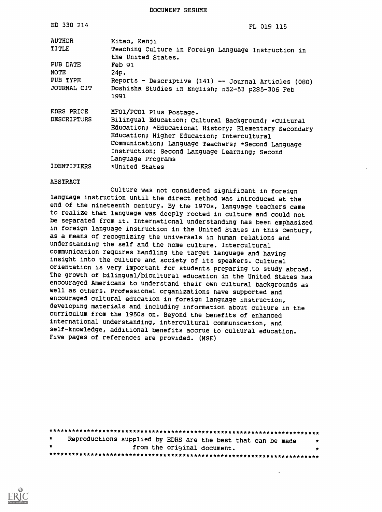DOCUMENT RESUME

| ED 330 214                | FL 019 115                                                                                                                                                                                                                                                                                                        |
|---------------------------|-------------------------------------------------------------------------------------------------------------------------------------------------------------------------------------------------------------------------------------------------------------------------------------------------------------------|
| AUTHOR<br>TITLE           | Kitao, Kenji<br>Teaching Culture in Foreign Language Instruction in<br>the United States.                                                                                                                                                                                                                         |
| PUB DATE<br>NOTE          | <b>Feb 91</b>                                                                                                                                                                                                                                                                                                     |
| PUB TYPE<br>JOURNAL CIT   | 24p.<br>Reports - Descriptive (141) -- Journal Articles (080)<br>Doshisha Studies in English; n52-53 p285-306 Feb<br>1991                                                                                                                                                                                         |
| EDRS PRICE<br>DESCRIPTORS | MF01/PC01 Plus Postage.<br>Bilingual Education; Cultural Background; *Cultural<br>Education; *Educational History; Elementary Secondary<br>Education; Higher Education; Intercultural<br>Communication; Language Teachers; *Second Language<br>Instruction; Second Language Learning; Second<br>Language Programs |
| <b>IDENTIFIERS</b>        | *United States                                                                                                                                                                                                                                                                                                    |

### ABSTRACT

Culture was not considered significant in foreign language instruction until the direct method was introduced at the end of the nineteenth century. By the 1970s, language teachers came to realize that language was deeply rooted in culture and could not be separated from it. International understanding has been emphasized in foreign language instruction in the United States in this century, as a means of recognizing the universals in human relations and understanding the self and the home culture. Intercultural communication requires handling the target language and having insight into the culture and society of its speakers. Cultural orientation is very important for students preparing to study abroad. The growth of bilingual/bicultural education in the United States has encouraged Americans to understand their own cultural backgrounds as well as others. Professional organizations have supported and encouraged cultural education in foreign language instruction, developing materials and including information about culture in the curriculum from the 1950s on. Beyond the benefits of enhanced international understanding, intercultural communication, and self-knowledge, additional benefits accrue to cultural education. Five pages of references are provided. (MSE)

| $\star$ |  | Reproductions supplied by EDRS are the best that can be made |  |
|---------|--|--------------------------------------------------------------|--|
| $\star$ |  | from the original document.                                  |  |
|         |  |                                                              |  |

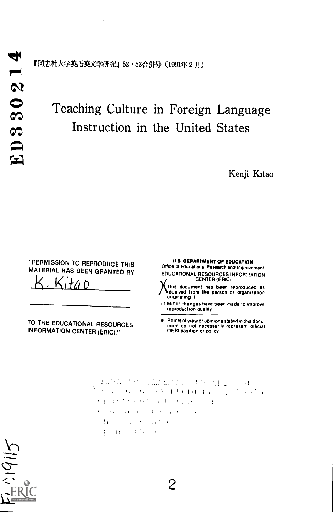『同志社大学英語英文学研究』52・53合併号(1991年2月)

# Teaching Culture in Foreign Language Instruction in the United States

Kenji Kitao

"PERMISSION TO REPRODUCE THIS MATERIAL HAS BEEN GRANTED BY

TO THE EDUCATIONAL RESOURCES INFORMATION CENTER (ERIC)."

U.S. DEPARTMENT Of EDUCATION Office of Educational Research and Improvement EDUCATIONAL RESOURCES INFOR∷∕ATION<br>CENTER (ERIC)

This document has been reproduced as received from the person or organization originating it

r Minor changes have been made to improve reproduction quality

Points of view or opinions slated in this docu ment do not necessarily represent official OERI pOSition or policy

Pauson for charding ordering to su New York of Central College the practice and controlling that a The official and the company the Charles County of Canada and Canada advance formation

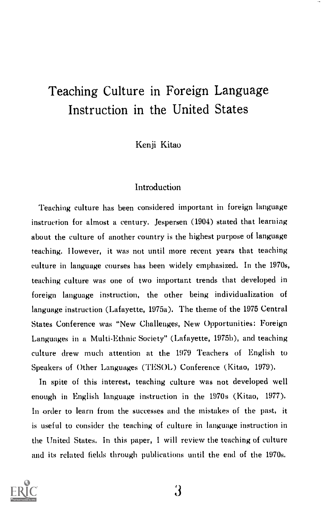## Teaching Culture in Foreign Language Instruction in the United States

Kenji Kitao

## Introduction

Teaching culture has been considered important in foreign language instruction for almost a century. Jespersen (1904) stated that learning about the culture of another country is the highest purpose of language teaching. However, it was not until more recent years that teaching culture in language courses has been widely emphasized. In the 1970s, teaching culture was one of two important trends that developed in foreign language instruction, the other being individualization of language instruction (Lafayette, 1975a). The theme of the 1975 Central States Conference was "New Challenges, New Opportunities: Foreign Languages in a Multi-Ethnic Society" (Lafayette, 1975b), and teaching culture drew much attention at the 1979 Teachers of English to Speakers of Other Languages (TESOL) Conference (Kitao, 1979).

In spite of this interest, teaching culture was not developed well enough in English language instruction in the 1970s (Kitao, 1977). In order to learn from the successes and the mistakes of the past, it is useful to consider the teaching of culture in language instruction in the United States. In this paper, <sup>I</sup> will review the teaching of culture and its related fields through publications until the end of the 1970s.

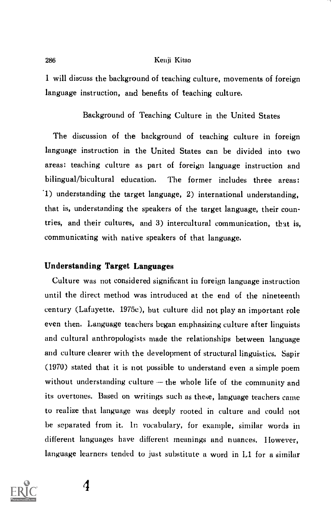1 will discuss the background of teaching culture, movements of foreign language instruction, and benefits of teaching culture.

## Background of Teaching Culture in the United States

The discussion of the background of teaching culture in foreign language instruction in the United States can be divided into two areas: teaching culture as part of foreign language instruction and bilingual/bicultural education. The former includes three areas: '1) understanding the target language, 2) international understanding, that is, understanding the speakers of the target language, their countries, and their cultures, and 3) intercultural communication, that is, communicating with native speakers of that language.

#### Understanding Target Languages

Culture was not considered significant in foreign language instruction until the direct method was introduced at the end of the nineteenth century (Lafayette, 1975c), but culture did not play an important role even then. Language teachers began emphasizing culture after linguists and cultural anthropologists made the relationships between language and culture clearer with the development of structural linguistics. Sapir (1970) stated that it is not possible to understand even a simple poem without understanding culture  $-$  the whole life of the community and its overtones. Based on writings such as these, language teachers came to realize that language was deeply rooted in culture and could not be separated from it. ln vocabulary, for example, similar words in different languages have different meanings and nuances, IIowever, language learners tended to just substitute a word in L1 for a similar

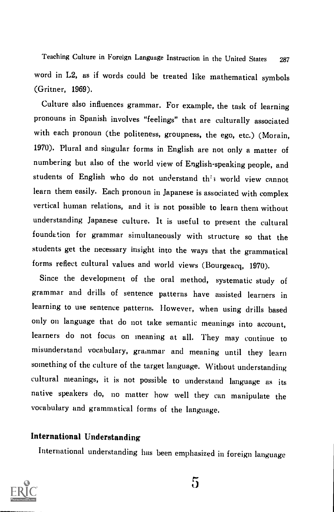Teaching Culture in Foreign Language Instruction in the United States <sup>287</sup> word in L2, as if words could be treated like mathematical symbols (Gritner, 1969).

Culture also influences grammar. For example, the task of learning pronouns in Spanish involves "feelings" that are culturally associated with each pronoun (the politeness, groupness, the ego, etc.) (Morain, 1970). Plural and singular forms in English are not only a matter of numbering but also of the world view of English-speaking people, and students of English who do not understand th's world view cannot learn them easily. Each pronoun in Japanese is associated with complex vertical human relations, and it is not possible to learn them without understanding Japanese culture. It is useful to present the cultural foundation for grammar simultaneously with structure so that the students get the necessary insight into the ways that the grammatical forms reflect cultural values and world views (Bourgeacq, 1970).

Since the development of the oral method, systematic study of grammar and drills of sentence patterns have assisted learners in learning to use sentence patterns. However, when using drills based only on language that do not take semantic meanings into account, learners do not focus on meaning at all. They may continue to misunderstand vocabulary, grammar and meaning until they learn something of the culture of the target language. Without understanding cultural meanings, it is not possible to understand language as its native speakers do, no matter how well they can manipulate the vocabulary and grammatical forms of the language.

## International Understanding

International understanding has been emphasized in foreign language

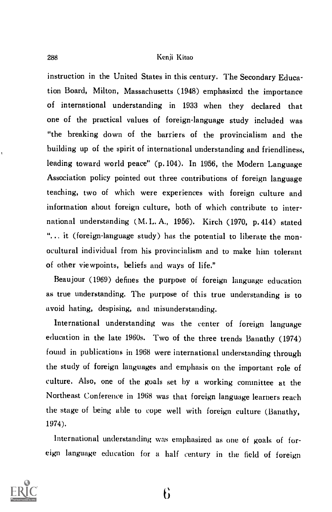instruction in the United States in this century. The Secondary Education Board, Milton, Massachusetts (1948) emphasized the importance of international understanding in 1933 when they declared that one of the practical values of foreign-language study included was "the breaking down of the barriers of the provincialism and the building up of the spirit of international understanding and friendliness, leading toward world peace" (p. 104). In 1956, the Modern Language Association policy pointed out three contributions of foreign language teaching, two of which were experiences with foreign culture and information about foreign culture, both of which contribute to international understanding (M. L. A., 1956). Kirch (1970, p. 414) stated "... it (foreign-language study) has the potential to liberate the monocultural individual from his provincialism and to make him tolerant of other viewpoints, beliefs and ways of life."

Beaujour (1969) defines the purpose of foreign language education as true understanding. The purpose of this true understanding is to avoid hating, despising, and misunderstanding.

International understanding was the center of foreign language education in the late 1960s. Two of the three trends Banathy (1974) found in publications in 1968 were international understanding through the study of foreign languages and emphasis on the important role of culture. Also, one of the goals set by a working committee at the Northeast Conference in 1968 was that foreign language learners reach the stage of being able to cope well with foreign culture (Banathy, 1974).

International understanding was emphasized as one of goals of foreign language education for a half century in the field of foreign

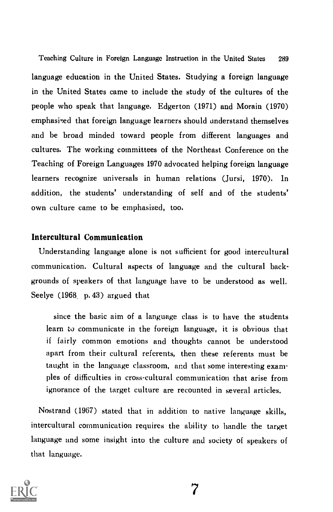Teaching Culture in Foreign Language Instruction in the United States 289 language education in the United States. Studying a foreign language in the United States came to include the study of the cultures of the people who speak that language. Edgerton (1971) and Morain (1970) emphasized that foreign language learners should understand themselves and be broad minded toward people from different languages and cultures. The working committees of the Northeast Conference on the Teaching of Foreign Languages 1970 advocated helping foreign language learners recognize universals in human relations (Jursi, 1970). In addition, the students' understanding of self and of the students' own culture came to be emphasized, too.

## Intercultural Communication

Understanding language alone is not sufficient for good intercultural communication. Cultural aspects of language and the cultural backgrounds of speakers of that language have to be understood as well. Seelye  $(1968, p. 43)$  argued that

since the basic aim of a language class is to have the students learn to communicate in the foreign language, it is obvious that if fairly common emotions and thoughts cannot be understood apart from their cultural referents, then these referents must be taught in the language classroom, and that some interesting examples of difficulties in cross-cultural communication that arise from ignorance of the target culture are recounted in several articles.

Nostrand (1967) stated that in addition to native language skills, intercultural communication requires the ability to handle the target language and some insight into the culture and society of speakers of that language.

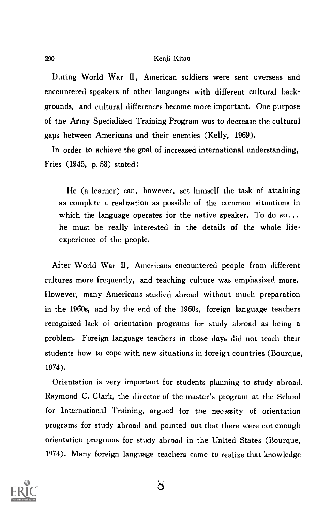During World War II, American soldiers were sent overseas and encountered speakers of other languages with different cultural backgrounds, and cultural differences became more important. One purpose of the Army Specialized Training Program was to decrease the cultural gaps between Americans and their enemies (Kelly, 1969).

In order to achieve the goal of increased international understanding, Fries (1945, p. 58) stated:

He (a learner) can, however, set himself the task of attaining as complete a realization as possible of the common situations in which the language operates for the native speaker. To do so... he must be really interested in the details of the whole lifeexperience of the people.

After World War II, Americans encountered people from different cultures more frequently, and teaching culture was emphasized more. However, many Americans studied abroad without much preparation in the 1960s, and by the end of the 1960s, foreign language teachers recognized lack of orientation programs for study abroad as being a problem. Foreign language teachers in those days did not teach their students how to cope with new situations in foreign countries (Bourque, 1974).

Orientation is very important for students planning to study abroad. Raymond C. Clark, the director of the master's program at the School for International Training, argued for the necessity of orientation programs for study abroad and pointed out that there were not enough orientation programs for study abroad in the United States (Bourque, 1474). Many foreign language teachers came to realize that knowledge



 $\mathbf{\ddot{o}}$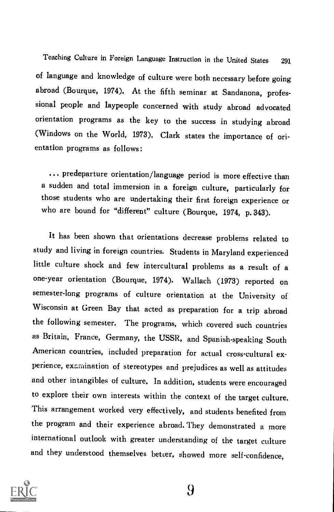Teaching Culture in Foreign Language Instruction in the United States <sup>291</sup> of language and knowledge of culture were both necessary before going abroad (Bourque, 1974), At the fifth seminar at Sandanona, professional people and laypeople concerned with study abroad advocated orientation programs as the key to the success in studying abroad (Windows on the World, 1973), Clark states the importance of orientation programs as follows :

... predeparture orientation/language period is more effective than a sudden and total immersion in a foreign culture, particularly for those students who are undertaking their first foreign experience or who are bound for "different" culture (Bourque, 1974, p. 343).

It has been shown that orientations decrease problems related to study and living in foreign countries. Students in Maryland experienced little culture shock and few intercultural problems as a result of <sup>a</sup> one-year orientation (Bourque, 1974). Wallach (1973) reported on semester-long programs of culture orientation at the University of Wisconsin at Green Bay that acted as preparation for a trip abroad the following semester, The programs, which covered such countries as Britain, France, Germany, the USSR, and Spanish-speaking South American countries, included preparation for actual cross-cultural experience, exaruination of stereotypes and prejudices as well as attitudes and other intangibles of culture, In addition, students were encouraged to explore their own interests within the context of the target culture. This arrangement worked very effectively, and students benefited from the program and their experience abroad. They demonstrated a more international outlook with greater understanding of the target culture and they understood themselves better, showed more self-confidence,

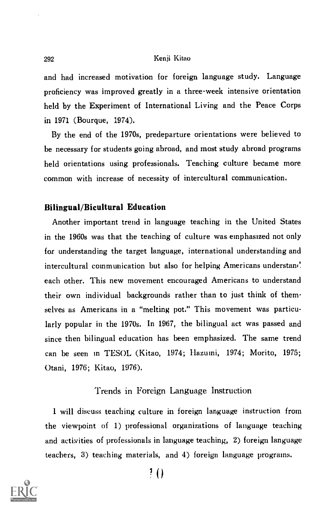and had increased motivation for foreign language study. Language proficiency was improved greatly in a three-week intensive orientation held by the Experiment of International Living and the Peace Corps in 1971 (Bourque, 1974).

By the end of the 1970s, predeparture orientations were believed to be necessary for students going abroad, and most study abroad programs held orientations using professionals. Teaching culture became more common with increase of necessity of intercultural communication.

### Bilingual/Bicultural Education

Another important trend in language teaching in the United States in the 1960s was that the teaching of culture was emphasized not only fox understanding the target language, international understanding and intercultural communication but also for helping Americans understand. each other. This new movement encouraged Americans to understand their own individual backgrounds rather than to just think of themselves as Americans in a "melting pot." This movement was particularly popular in the 1970s. In 1967, the bilingual act was passed and since then bilingual education has been emphasized. The same trend can be seen in TESOL (Kitao, 1974; Ilazumi, 1974; Morito, 1975; Otani, 1976; Kitao, 1976).

## Trends in Foreign Language Instruction

I will discuss teaching culture in foreign language instruction from the viewpoint of 1) professional organizations of language teaching and activities of professionals in language teaching, 2) foreign language teachers, 3) teaching materials, and 4) foreign language programs.

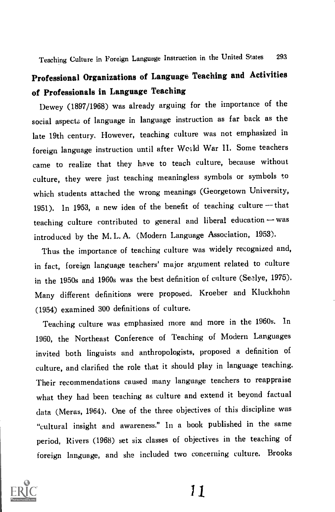## Professional Organizations of Language Teaching and Activities of Professionals in Language Teaching

Dewey (1897/1968) was already arguing for the importance of the social aspects of language in language instruction as far back as the late 19th century. However, teaching culture was not emphasized in foreign language instruction until after Woald War II. Some teachers came to realize that they have to teach culture, because without culture, they were just teaching meaningless symbols or symbols to which students attached the wrong meanings (Georgetown University, 1951). In 1953, a new idea of the benefit of teaching culture  $-$  that teaching culture contributed to general and liberal education - was introduced by the M. L. A. (Modern Language Association, 1953).

Thus the importance of teaching culture was widely recognized and, in fact, foreign language teachers' major argument related to culture in the 1950s and 1960s was the best definition of culture (Seelye, 1975). Many different definitions were proposed. Kroeber and Kluckhohn (1954) examined 300 definitions of culture.

Teaching culture was emphasized more and more in the 1960s. In 1960, the Northeast Conference of Teaching of Modern Languages invited both linguists and anthropologists, proposed a definition of culture, and clarified the role that it should play in language teaching. Their recommendations caused many language teachers to reappraise what they had been teaching as culture and extend it beyond factual data (Meras, 1964). One of the three objectives of this discipline was "cultural insight and awareness." In a book published in the same period, Rivers (1968) set six classes of objectives in the teaching of foreign language, and she included two concerning culture. Brooks

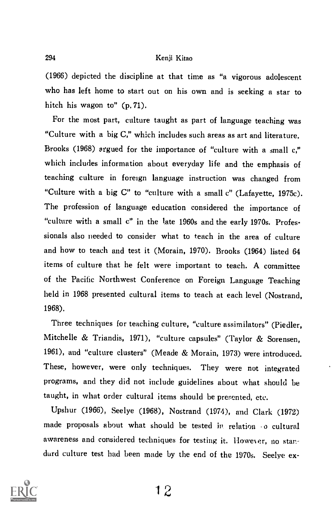(1966) depicted the discipline at that time as "a vigorous adolescent who has left home to start out on his own and is seeking a star to hitch his wagon to" (p. 71).

For the most part, culture taught as part of language teaching was "Culture with a big C," which includes such areas as art and literature. Brooks (1968) argued for the importance of "culture with a small c," which includes information about everyday life and the emphasis of teaching culture in foreign language instruction was changed from "Culture with a big C" to "culture with a small c" (Lafayette, 1975c). The profession of language education considered the importance of "culture with a small c" in the late 1960s and the early 1970s. Professionals also needed to consider what to teach in the area of culture and how to teach and test it (Morain, 1970). Brooks (1964) listed 64 items of culture that he felt were important to teach. A committee of the Pacific Northwest Conference on Foreign Language Teaching held in 1968 presented cultural items to teach at each level (Nostrand, 1968).

Three techniques for teaching culture, "culture assimilators" (Piedler, Mitchelle & Triandis, 1971), "culture capsules" (Taylor & Sorensen, 1961), and "culture clusters" (Meade & Morain, 1973) were introduced. These, however, were only techniques. They were not integrated programs, and they did not include guidelines about what should be taught, in what order cultural items should be presented, etc.

Upshur (1966), Seelye (1968), Nostrand (1974), and Clark (1972) made proposals about what should be tested in relation o cultural awareness and considered techniques for testing it. However, no stardurd culture test bad been made by the end of the 1970s. Seelye ex-

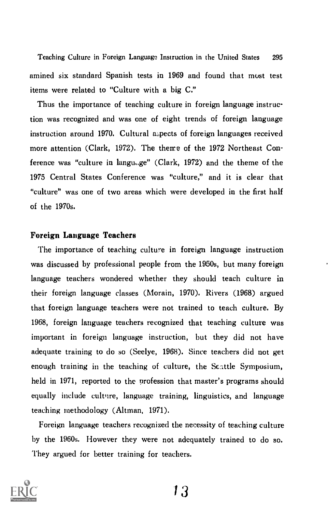Teaching Culture in Foreign Language Instruction in the United States 295 amined six standard Spanish tests in 1969 and found that must test items were related to "Culture with a big C."

Thus the importance of teaching culture in foreign language instruction was recognized and was one of eight trends of foreign language instruction around 1970. Cultural aspects of foreign languages received more attention (Clark, 1972). The theme of the 1972 Northeast Conference was "culture in langu..ge" (Clark, 1972) and the theme of the 1975 Central States Conference was "culture," and it is clear that "culture" was one of two areas which were developed in the first half of the 1970s.

## Foreign Language Teachers

The importance of teaching culture in foreign language instruction was discussed by professional people from the 1950s, but many foreign language teachers wondered whether they should teach culture in their foreign language classes (Morain, 1970). Rivers (1968) argued that foreign language teachers were not trained to teach culture. By 1968, foreign language teachers recognized that teaching culture was important in foreign language instruction, but they did not have adequate training to do so (Seelye, 1968). Since teachers did not get enough training in the teaching of culture, the Seattle Symposium, held in 1971, reported to the profession that master's programs should equally include culvire, language training, linguistics, and language teaching methodology (Altman, 1971).

Foreign language teachers recognized the necessity of teaching culture by the 1960s. However they were not adequately trained to do so. They argued for better training for teachers.

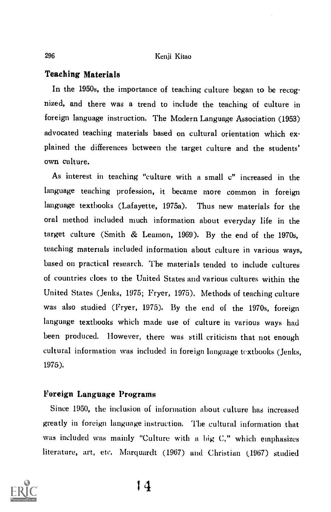### Teaching Materials

In the 1950s, the importance of teaching culture began to be recognized, and there was a trend to include the teaching of culture in foreign language instruction. The Modern Language Association (1953) advocated teaching materials based on cultural orientation which explained the differences between the target culture and the students' own culture.

As interest in teaching "culture with a small c" increased in the language teaching profession, it became more common in foreign language textbooks (Lafayette, 1975a). Thus new materials for the oral method included much information about everyday life in the target culture (Smith & Lemon, 1969). By the end of the 1970s, teaching materials included information about culture in various ways, based on practical research. The materials tended to include cultures of countries does to the United States and various cultures within the United States (Jenks, 1975; Fryer, 1975), Methods of teaching culture was also studied (Fryer, 1975), By the end of the 1970s, foreign language textbooks which made use of culture in various ways had been produced. However, there was still criticism that not enough cultural information was included in foreign language textbooks (Jenks, 1975),

## Foreign Language Programs

Since 1950, the inclusion of information about culture has increased greatly in foreign language instruction, The cultural information that was included was mainly "Culture with a big C," which emphasizes literature, art, etc. Marquardt (1967) and Christian (1967) studied

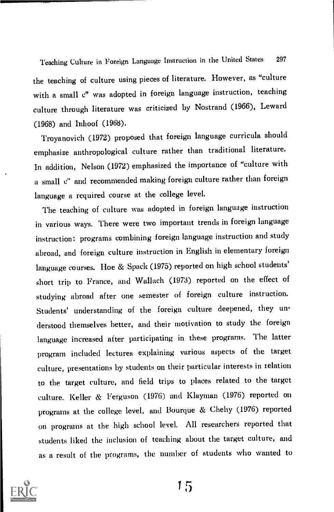Teaching Culture in Foreign Language Instruction in the United States <sup>297</sup> the teaching of culture using pieces of literature. However, as "culture with a small c" was adopted in foreign language instruction, teaching culture through literature was criticized by Nostrand (1966), Leward (1968) and Inhoof (1968).

Troyanovich (1972) proposed that foreign language curricula should emphasize anthropological culture rather than traditional literature. In addition, Nelson (1972) emphasized the importance of "culture with a small c" and recommended making foreign culture rather than foreign language a required course at the college level.

The teaching of culture was adopted in foreign language instruction in various ways. There were two important trends in foreign language instruction: programs combining foreign language instruction and study abroad, and foreign culture instruction in English in elementary foreign language courses. Hoe & Spack (1975) reported on high school students' short trip to France, and Wallach (1973) reported on the effect of studying abroad after one semester of foreign culture instruction. Students' understanding of the foreign culture deepened, they understood themselves better, and their motivation to study the foreign language increased after participating in these programs. The latter program included lectures explaining various aspects of the target culture, presentations by students on their particular interests in relation to the target culture, and field trips to places related to the target culture. Keller & Ferguson (1976) and Klayman (1976) reported on programs at the college level, and Bourque & Chehy (1976) reported on programs at the high school level. All researchers reported that students liked the inclusion of teaching about the target culture, and as a result of the programs, the number of students who wanted to

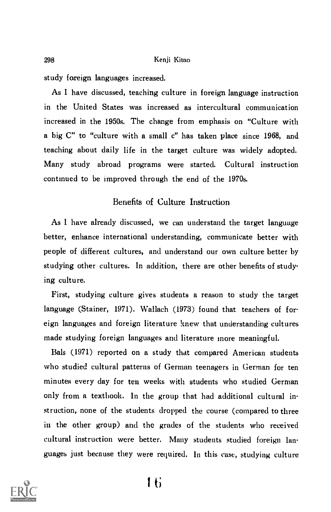study foreign languages increased.

As I have discussed, teaching culture in foreign language instruction in the United States was increased as intercultural communication increased in the 1950s. The change from emphasis on "Culture with a big C" to "culture with a small c" has taken place since 1968, and teaching about daily life in the target culture was widely adopted. Many study abroad programs were started. Cultural instruction continued to be improved through the end of the 1970s.

## Benefits of Culture Instruction

As I have already discussed, we can understand the target language better, enhance international understanding, communicate better with people of different cultures, and understand our own culture better by studying other cultures. In addition, there are other benefits of studying culture.

First, studying culture gives students a reason to study the target language (Stainer, 1971). Wallach (1973) found that teachers of foreign languages and foreign literature knew that understanding cultures made studying foreign languages and literature more meaningful.

Bals (1971) reported on a study that compared American students who studied cultural patterns of German teenagers in German for ten minutes every day for ten weeks with students who studied German only from a textbook. In the group that had additional cultural instruction, none of the students dropped the course (compared to three in the other group) and the grades of the students who received cultural instruction were better. Many students studied foreign languages just because they were required. In this case, studying culture

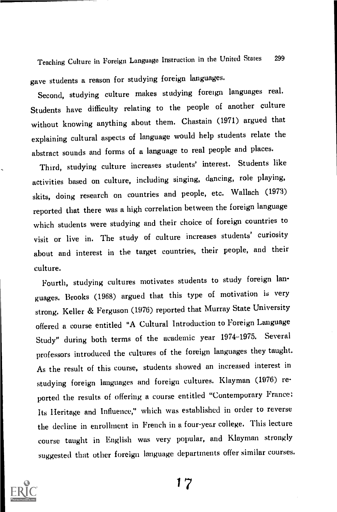Teaching Culture in Foreign Language Instruction in the United States <sup>299</sup> gave students a reason for studying foreign languages.

Second, studying culture makes studying foreign languages real. Students have difficulty relating to the people of another culture without knowing anything about them. Chastain (1971) argued that explaining cultural aspects of language would help students relate the abstract sounds and forms of a language to real people and places.

Third, studying culture increases students' interest. Students like activities based on culture, including singing, dancing, role playing, skits, doing research on countries and people, etc. Wallach (1973) reported that there was a high correlation between the foreign language which students were studying and their choice of foreign countries to visit or live in. The study of culture increases students' curiosity about and interest in the target countries, their people, and their culture.

Fourth, studying cultures motivates students to study foreign languages. Brooks (1968) argued that this type of motivation is very strong. Keller & Ferguson (1976) reported that Murray State University offered a course entitled "A Cultural Introduction to Foreign Language Study" during both terms of the academic year 1974-1975. Several professors introduced the cultures of the foreign languages they taught. As the result of this course, students showed an increased interest in studying foreign languages and foreign cultures. Klayman (1976) reported the results of offering a course entitled "Contemporary France: Its Heritage and Influence," which was established in order to reverse the decline in enrollment in French in a four-year college. This lecture course taught in English was very popular, and Klayman strongly suggested that other foreign language departments offer similar courses.

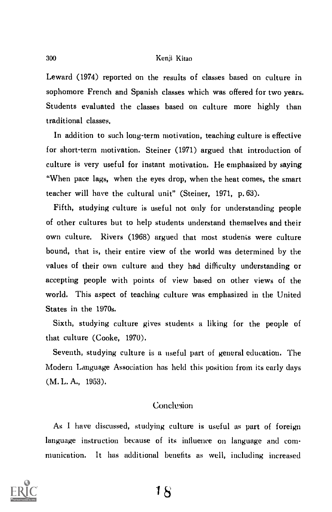Leward (1974) reported on the results of classes based on culture in sophomore French and Spanish classes which was offered for two years. Students evaluated the classes based on culture more highly than traditional classes.

In addition to such long-term motivation, teaching culture is effective for short-term motivation. Steiner (1971) argued that introduction of culture is very useful for instant motivation. He emphasized by saying "When pace lags, when the eyes drop, when the heat comes, the smart teacher will have the cultural unit" (Steiner, 1971, p. 63).

Fifth, studying culture is useful not only for understanding people of other cultures but to help students understand themselves and their own culture. Rivers (1968) argued that most students were culture bound, that is, their entire view of the world was determined by the values of their own culture and they had difficulty understanding or accepting people with points of view based on other views of the world. This aspect of teaching culture was emphasized in the United States in the 1970s.

Sixth, studying culture gives students a liking for the people of that culture (Cooke, 1970).

Seventh, studying culture is a useful part of general education. The Modern Language Association has held this position from its early days (M. L. A., 1953).

## Conclusion

As I have discussed, studying culture is useful as part of foreign language instruction because of its influence on language and communication. It has additional benefits as well, including increased

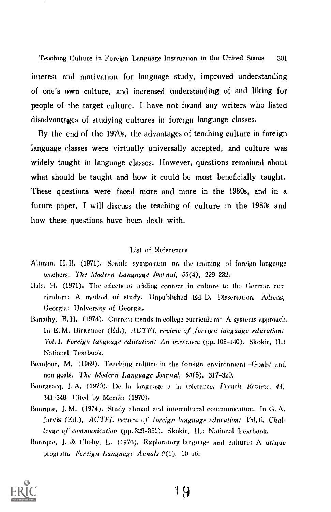Teaching Culture in Foreign Language Instruction in the United States 301 interest and motivation for language study, improved understanding of one's own culture, and increased understanding of and liking for people of the target culture. I have not found any writers who listed disadvantages of studying cultures in foreign language classes.

By the end of the 1970s, the advantages of teaching culture in foreign language classes were virtually universally accepted, and culture was widely taught in language classes. However, questions remained about what should be taught and how it could be most beneficially taught. These questions were faced more and more in the 1980s, and in a future paper, I will discuss the teaching of culture in the 1980s and how these questions have been dealt with.

#### List of References

- Altman, H.B. (1971). Seattle symposium on the training of foreign language teachers. The Modern Language Journal,  $55(4)$ ,  $229-232$ .
- Bals, H. (1971). The effects of adding content in culture to the German curriculum: A method of study. Unpublished Ed. D. Dissertation. Athens, Georgia: University of Georgia.
- Banathy, B. H. (1974). Current trends in college curriculum: A systems approach. In E.M. Birkmaier (Ed.), ACTFL review of foreign language education: VOL I, Foreign language education: An overview (pp. 105-140). Skokie, IL: National Textbook.
- Beaujour, M. (1969). Teaching culture in the foreign environment-Goals: and non-goals. The Modern Language Journal, 53(5), 317-320.
- Bourgeacq, J. A. (1970). De la language a la tolerance. French Review, 44, 341-348. Cited by Morain (1970).
- Bourque, J. M. (1974). Study abroad and intercultural communication. In G. A. Jarvis (Ed.), ACTFL review of foreign language education: Vol. 6. Challenge of communication (pp. 329-351). Skokie. IL: National Textbook.
- Bourque, J. & Chehy, L. (1976). Exploratory language and culture: A unique program. Foreign Language Annals 9(1). 10-16.

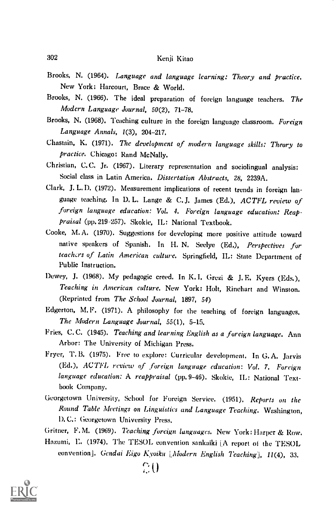- Brooks, N. (1964). Language and language learning: Theory and practice. New York: Harcourt, Brace & World.
- Brooks, N. (1966). The ideal preparation of foreign language teachers. The Modern Language' Journal, 50(2), 71-78.
- Brooks, N. (1968). Teaching culture in the foreign language classroom. Foreign Language Annals, 1(3), 204-217.
- Chastain, K. (1971). The development of modern language skills: Theory to practice. Chicago: Rand McNally.
- Christian, C. C. Jr. (1967). Literary representation and sociolingual analysis: Social class in Latin America. Dissertation Abstracts, 28, 2239A.
- Clark, J. L. D. (1972). Measurement implications of recent trends in foreign language teaching. In D. L. Lange & C. J. James (Ed.), ACTFL review of foreign language education: Vol. 4. Foreign language education: Reappraisal (pp. 219-257). Skokie, IL: National Textbook.
- Cooke, M. A. (1970). Suggestions for developing more positive attitude toward native speakers of Spanish. In H. N. Seelye (Ed,), Perspectives for teachers of Latin American culture. Springfield, IL: State Department of Public Instruction.
- Dewey, J. (1968). My pedagogic creed. In K. I. Grezi & J. E. Kyers (Eds.), Teaching in American culture. New York: Holt, Rinehart and Winston. (Reprinted from The School Journal, 1897, 54)
- Edgerton, M. F. (1971). A philosophy for the teaching of foreign languages. The Modern Language Journal, 55(1), 5-15.
- Fries, C.C. (1945). Teaching and learning English as a foreign language. Ann Arbor: The University of Michigan Press.
- Fryer, T. B. (1975), Free to explore: Curricular development. In G. A. Jarvis (Ed.), ACTFL review of foreign language education: Vol. 7. Foreign language education: A reappraisal (pp. 9-46). Skokie, IL: National Textbook Company.
- Georgetown University, School for Foreign Service. (1951). Reports on the Round Table Meetings on Linguistics and Language Teaching. Washington, D. C.: Georgetown University Press,

Gritner, F. M. (1969). Teaching foreign languages. New York : Harper & Row.

Hazumi, E. (1974). The TESOL convention sankaiki [A report of the TESOL convention]. Gendai Eigo Kyoiku [Modern English Teaching], 11(4), 33.

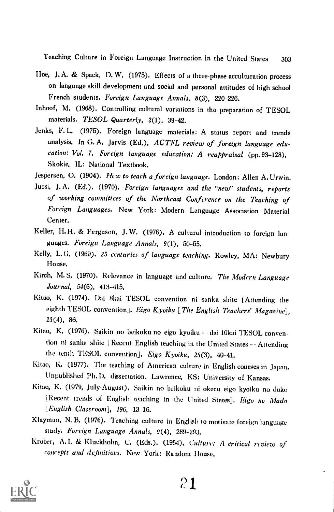Teaching Culture in Foreign Language Instruction in the United States 303

- Hoe, J. A. & Spack, I). W. (1975). Effects of a three-phase acculturation process on language skill development and social and personal attitudes of high school French students. Foreign Language Annals, 8(3), 220-226.
- Inhoof, M. (1968), Controlling cultural variations in the preparation of TESOL materials. TESOL Quarterly, 2(1), 39-42.
- Jenks, F. L. (1975). Foreign language materials: A status report and trends analysis. In G.A. Jarvis (Ed.), ACTFL review of foreign language education: Vol. 7. Foreign language education: A reappraisal (pp. 93-128). Skokie, IL: National Textbook.
- Jespersen, O. (1904). How to teach a foreign language. London: Allen A. Urwin.
- Jursi, J. A. (Ed.). (1970). Foreign languages and the "new" students, reports of working committees of the Northeast Conference on the Teaching of Foreign Languages. New York: Modern Language Association Material Center,
- Keller, H, H. & Ferguson, J. W. (1976). A cultural introduction to foreign languages. Foreign Language Annals, 9(1), 50-55.
- Kelly, L. G. (1969). 25 centuries of language teaching. Rowley, MA: Newbury House.
- Kirch, M.S. (1970). Relevance in language and culture, The Modern Language Journal, 54(6), 413-415.
- Kitao, K. (1974). Dai 8kai TESOL convention ni sunka shite [Attending the eighth TESOL convention]. Eigo Kyoiku [The English Teachers' Magazine], 23(4), 86.
- Kitao, K, (1976). Saikin no beikoku no eigo kyoiku dai 10kai TESOL convention ni sanka shite [Recent English teaching in the United States - Attending the tenth TESOL convention], Eigo Kyoiku, 25(3), 40-41,
- Kitao, K. (1977). The teaching of American culture in English courses in Japan. Unpublished Ph.D. dissertation. Lawrence, KS: University of Kansas.
- Kitao, K. (1979, July-August). Saikin no beikoku ni okeru eigo kyoiku no doko [Recent trends of English teaching in the United States]. Eigo no Mado LEnglish Classroom], 196, 13-16.
- Klayman, N. B. (1976). Teaching culture in English to motivate foreign language study. Foreign Language Annals, 9(4), 289-293.
- Krober, A. I. & Kluckhohn, C. (Eds.). (1954), Culture: A critical review of concepts and definitions. New York: Random House,

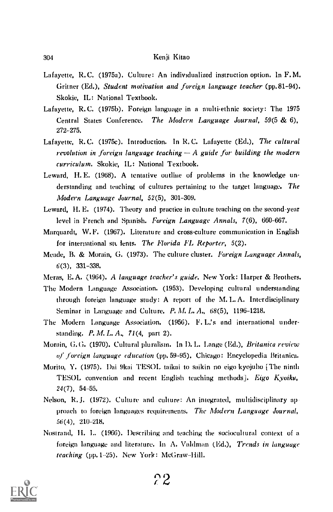- Lafayette, R.C. (1975a). Culture: An individualized instruction option. In F.M. Gritner (Ed.), Student motivation and foreign language teacher (pp.81-94). Skokie, IL: National Textbook.
- Lafayette, R.C. (1975b). Foreign language in a multi-ethnic society: The 1975 Central States Conference. The Modern Language Journal, 59(5 & 6), 272-275.
- Lafayette, R.C. (1975c). Introduction. In R.C. Lafayette (Ed.), The cultural revolution in foreign language teaching  $-A$  guide for building the modern curriculum. Skokie, IL: National Textbook.
- Leward, H. E. (1968). A tentative outline of problems in the knowledge understanding and teaching of cultures pertaining to the target language. The Modern Language Journal, 52(5), 301-309.
- Leward, II. E. (1974). Theory and practice in culture teaching on the second-year level in French and Spanish. Foreign Language Annals, 7(6), 660-667.
- Marquardt, W.F. (1967). Literature and cross-culture communication in English for international stt lents. The Florida FL Reporter, 5(2).
- Meade, B. & Morain, G. (1973). The culture cluster. *Foreign Language Annals*, 6(3), 331-338.
- Meras, E. A. (1964). A language teacher's guide. New York: Ilarper & Brothers.
- The Modern Language Association. (1953). Developing cultural understanding through foreign language study: A report of the M. L. A. Interdisciplinary Seminar in Language and Culture. P. M. L. A.,  $68(5)$ , 1196-1218.
- The Modern Language Association. (1956). F. L.'s and international understanding. P. M. L. A., 71(4, part 2).
- Morain, G. G. (1970). Cultural pluralism. In D. L. Lange (Ed.), Britanica review of foreign language education (pp. 59-95). Chicago: Encyclopedia Britanica.
- Morito, Y. (1975). Dai 9kai TESOL taikai to saikin no eigo kyojuho [The ninth TESOL convention and recent English teaching methods]. Eigo Kyoiku, 24(7), 54-55.
- Nelson, R. J. (1972). Culture and culture: An integrated, multidisciplinary ap proach to foreign languages requirements. The Modern Language Journal, 56(4), 210-218.
- Nostrand, II. L. (1966). Describing and teaching the sociocultural context of a foreign language and literature. In A. Valdman (Ed.), *Trends in language* teaching (pp. 1-25). New York: McGraw-Hill.

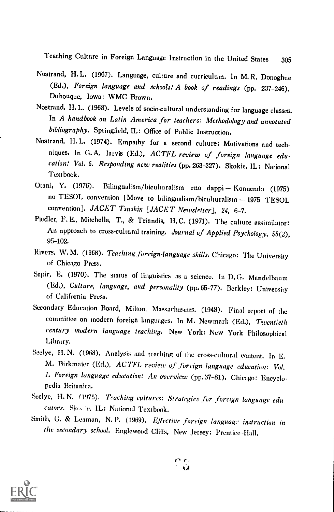Teaching Culture in Foreign Language Instruction in the United States <sup>305</sup>

- Nostrand, H. L. (1967). Language, culture and curriculum. In M. R. Donoghue (Ed.), Foreign language and schools: A book of readings (pp. 237-246). Dubouque, Iowa: WMC Brown.
- Nostrand, H. L. (1968). Levels of socio-cultural understanding for language classes. In A handbook on Latin America for teachers: Methodology and annotated bibliography. Springfield, IL: Office of Public Instruction.
- Nostrand, H. L. (1974). Empathy for a second culture: Motivations and techniques. In G.A. Jarvis (Ed.), ACTFL review of foreign language education: Vol. 5. Responding new realities (pp. 263-327). Skokie, IL: National Textbook.
- Otani, Y. (1976). Bilingualism/biculturalism eno dappi Konnendo (1975) no TESOL convention [Move to bilingualism/biculturalism 1975 TESOL convention]. JACET Tsushin [JACET Newsletter], 24, 6-7.
- Piedler, F. E., Mitchella, T., & Triandis, H.C. (1971). The culture assimilator: An approach to cross-cultural training. Journal of Applied Psychology, 55(2), 95-102.
- Rivers, W.M. (1968). Teaching foreign-language skills. Chicago: The University of Chicago Press.
- Sapir, E. (1970). The status of linguistics as a science. In D. G. Mandelbaum (Ed.), Culture, language, and personality (pp. 65-77). Berkley: University of California Press.
- Secondary Education Board, Milton, Massachusetts. (1948). Final report of the committee on modern foreign languages. In M. Newmark (Ed.), Twentieth century modern language teaching. New York: New York Philosophical Library.
- Seelye, II. N. (1968). Analysis and teaching of the cross-cultural content. In E. M. Birkmaier (Ed.), ACTFL review of foreign language education: Vol. I. Foreign language education: An overview (pp. 37-81). Chicago: Encyclopedia Britanica.
- Seelye, H. N. (1975). Teaching cultures: Strategies for forcign language educators. Sko. e. IL: National Textbook.
- Smith, G. & Leaman, N. P. (1969). Effective foreign language instruction in the secondary school. Englewood Cliffs, New Jersey: Prentice-Hall.